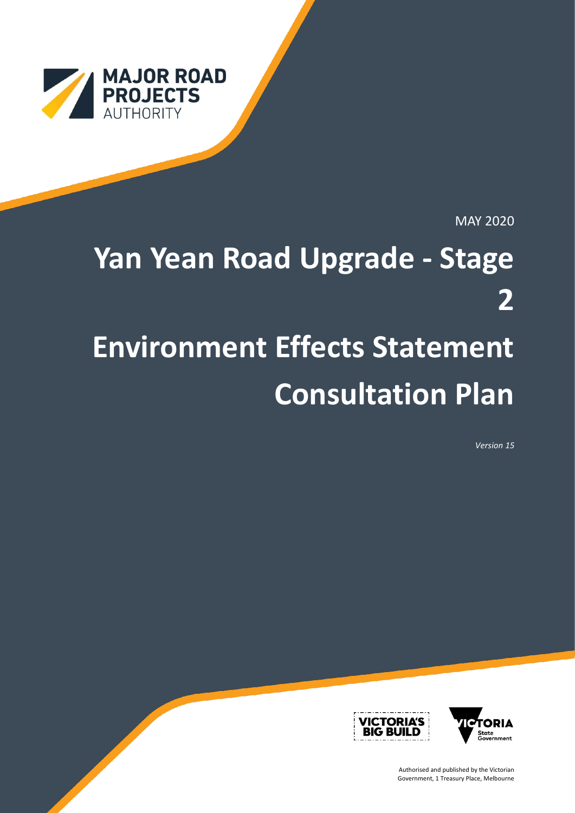

MAY 2020

# **Yan Yean Road Upgrade - Stage 2 Environment Effects Statement Consultation Plan**

*Version 15*



Authorised and published by the Victorian Government, 1 Treasury Place, Melbourne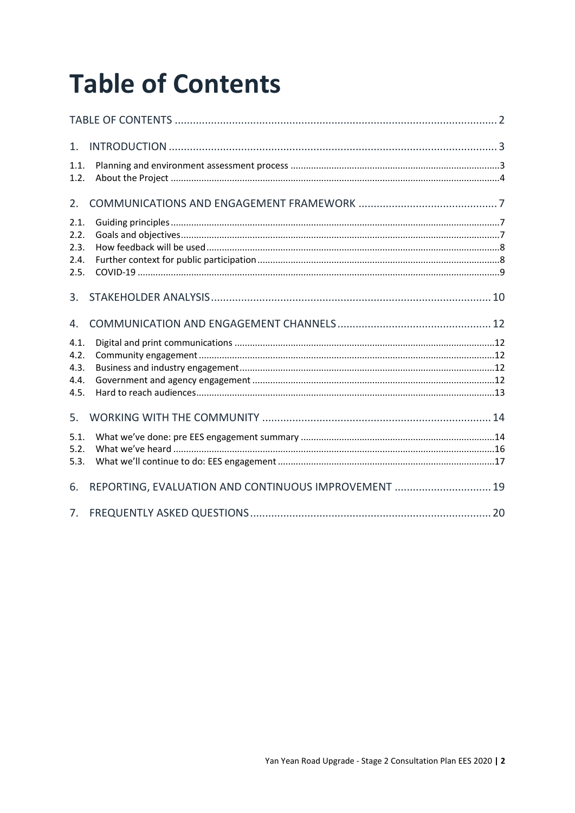# **Table of Contents**

| 1.                                   |                                                      |  |
|--------------------------------------|------------------------------------------------------|--|
| 1.1.<br>1.2.                         |                                                      |  |
| 2.                                   |                                                      |  |
| 2.1.<br>2.2.<br>2.3.<br>2.4.<br>2.5. |                                                      |  |
| 3.                                   |                                                      |  |
| 4.                                   |                                                      |  |
| 4.1.<br>4.2.<br>4.3.<br>4.4.<br>4.5. |                                                      |  |
| 5.                                   |                                                      |  |
| 5.1.<br>5.2.<br>5.3.                 |                                                      |  |
| 6.                                   | REPORTING, EVALUATION AND CONTINUOUS IMPROVEMENT  19 |  |
|                                      |                                                      |  |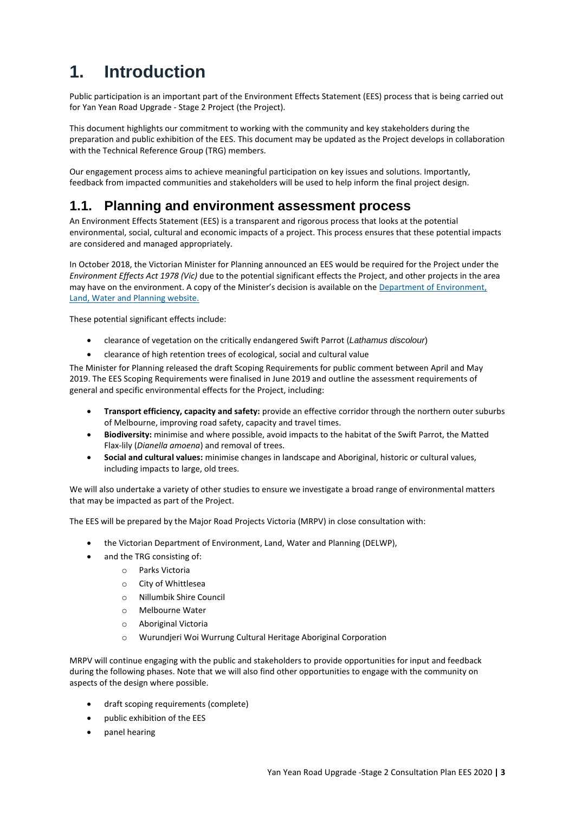# **1. Introduction**

Public participation is an important part of the Environment Effects Statement (EES) process that is being carried out for Yan Yean Road Upgrade - Stage 2 Project (the Project).

This document highlights our commitment to working with the community and key stakeholders during the preparation and public exhibition of the EES. This document may be updated as the Project develops in collaboration with the Technical Reference Group (TRG) members.

Our engagement process aims to achieve meaningful participation on key issues and solutions. Importantly, feedback from impacted communities and stakeholders will be used to help inform the final project design.

## **1.1. Planning and environment assessment process**

An Environment Effects Statement (EES) is a transparent and rigorous process that looks at the potential environmental, social, cultural and economic impacts of a project. This process ensures that these potential impacts are considered and managed appropriately.

In October 2018, the Victorian Minister for Planning announced an EES would be required for the Project under the *Environment Effects Act 1978 (Vic)* due to the potential significant effects the Project, and other projects in the area may have on the environment. A copy of the Minister's decision is available on the [Department of Environment,](https://www.planning.vic.gov.au/environment-assessment/browse-projects/projects/yan-yean-road-upgrade-stage-2)  [Land, Water and Planning website.](https://www.planning.vic.gov.au/environment-assessment/browse-projects/projects/yan-yean-road-upgrade-stage-2)

These potential significant effects include:

- clearance of vegetation on the critically endangered Swift Parrot (*Lathamus discolour*)
- clearance of high retention trees of ecological, social and cultural value

The Minister for Planning released the draft Scoping Requirements for public comment between April and May 2019. The EES Scoping Requirements were finalised in June 2019 and outline the assessment requirements of general and specific environmental effects for the Project, including:

- **Transport efficiency, capacity and safety:** provide an effective corridor through the northern outer suburbs of Melbourne, improving road safety, capacity and travel times.
- **Biodiversity:** minimise and where possible, avoid impacts to the habitat of the Swift Parrot, the Matted Flax-lily (*Dianella amoena*) and removal of trees.
- **Social and cultural values:** minimise changes in landscape and Aboriginal, historic or cultural values, including impacts to large, old trees.

We will also undertake a variety of other studies to ensure we investigate a broad range of environmental matters that may be impacted as part of the Project.

The EES will be prepared by the Major Road Projects Victoria (MRPV) in close consultation with:

- the Victorian Department of Environment, Land, Water and Planning (DELWP),
- and the TRG consisting of:
	- o Parks Victoria
		- o City of Whittlesea
		- o Nillumbik Shire Council
		- o Melbourne Water
		- o Aboriginal Victoria
		- o Wurundjeri Woi Wurrung Cultural Heritage Aboriginal Corporation

MRPV will continue engaging with the public and stakeholders to provide opportunities for input and feedback during the following phases. Note that we will also find other opportunities to engage with the community on aspects of the design where possible.

- draft scoping requirements (complete)
- public exhibition of the EES
- panel hearing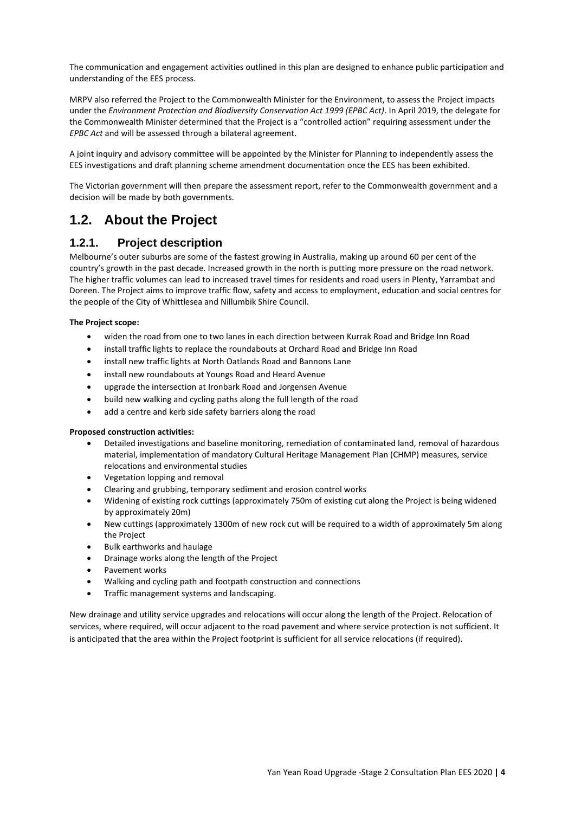The communication and engagement activities outlined in this plan are designed to enhance public participation and understanding of the EES process.

MRPV also referred the Project to the Commonwealth Minister for the Environment, to assess the Project impacts under the *Environment Protection and Biodiversity Conservation Act 1999 (EPBC Act)*. In April 2019, the delegate for the Commonwealth Minister determined that the Project is a "controlled action" requiring assessment under the *EPBC Act* and will be assessed through a bilateral agreement.

A joint inquiry and advisory committee will be appointed by the Minister for Planning to independently assess the EES investigations and draft planning scheme amendment documentation once the EES has been exhibited.

The Victorian government will then prepare the assessment report, refer to the Commonwealth government and a decision will be made by both governments.

# **1.2. About the Project**

### **1.2.1. Project description**

Melbourne's outer suburbs are some of the fastest growing in Australia, making up around 60 per cent of the country's growth in the past decade. Increased growth in the north is putting more pressure on the road network. The higher traffic volumes can lead to increased travel times for residents and road users in Plenty, Yarrambat and Doreen. The Project aims to improve traffic flow, safety and access to employment, education and social centres for the people of the City of Whittlesea and Nillumbik Shire Council.

### **The Project scope:**

- widen the road from one to two lanes in each direction between Kurrak Road and Bridge Inn Road
- install traffic lights to replace the roundabouts at Orchard Road and Bridge Inn Road
- install new traffic lights at North Oatlands Road and Bannons Lane
- install new roundabouts at Youngs Road and Heard Avenue
- upgrade the intersection at Ironbark Road and Jorgensen Avenue
- build new walking and cycling paths along the full length of the road
- add a centre and kerb side safety barriers along the road

### **Proposed construction activities:**

- Detailed investigations and baseline monitoring, remediation of contaminated land, removal of hazardous material, implementation of mandatory Cultural Heritage Management Plan (CHMP) measures, service relocations and environmental studies
- Vegetation lopping and removal
- Clearing and grubbing, temporary sediment and erosion control works
- Widening of existing rock cuttings (approximately 750m of existing cut along the Project is being widened by approximately 20m)
- New cuttings (approximately 1300m of new rock cut will be required to a width of approximately 5m along the Project
- Bulk earthworks and haulage
- Drainage works along the length of the Project
- Pavement works
- Walking and cycling path and footpath construction and connections
- Traffic management systems and landscaping.

New drainage and utility service upgrades and relocations will occur along the length of the Project. Relocation of services, where required, will occur adjacent to the road pavement and where service protection is not sufficient. It is anticipated that the area within the Project footprint is sufficient for all service relocations (if required).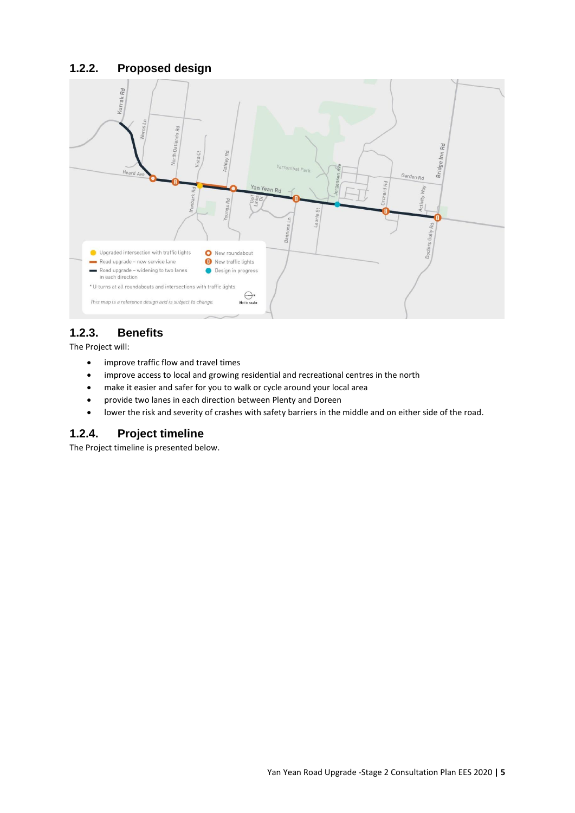### **1.2.2. Proposed design**



### **1.2.3. Benefits**

The Project will:

- improve traffic flow and travel times
- improve access to local and growing residential and recreational centres in the north
- make it easier and safer for you to walk or cycle around your local area
- provide two lanes in each direction between Plenty and Doreen
- lower the risk and severity of crashes with safety barriers in the middle and on either side of the road.

### **1.2.4. Project timeline**

The Project timeline is presented below.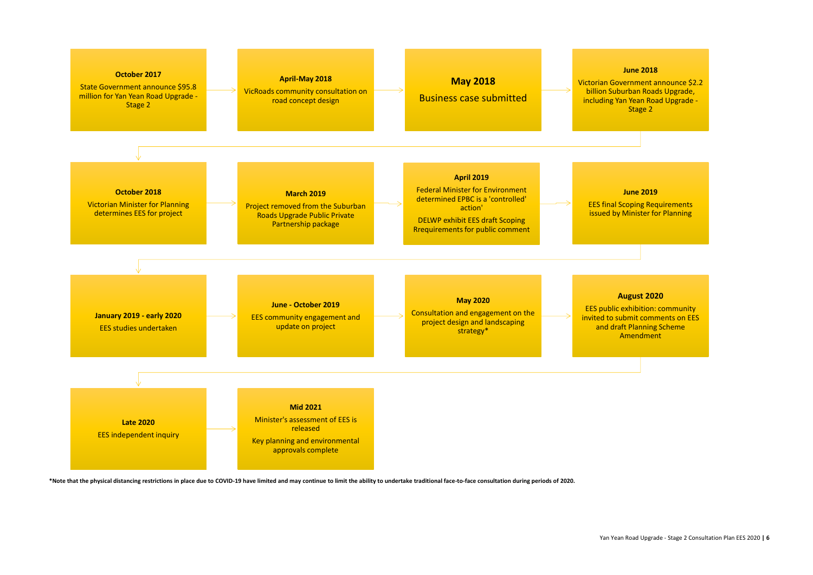### **June 2018**

Victorian Government announce \$2.2 billion Suburban Roads Upgrade, including Yan Yean Road Upgrade - Stage 2



\*Note that the physical distancing restrictions in place due to COVID-19 have limited and may continue to limit the ability to undertake traditional face-to-face consultation during periods of 2020.

### **June 2019**

EES final Scoping Requirements issued by Minister for Planning

### **August 2020**

EES public exhibition: community invited to submit comments on EES and draft Planning Scheme Amendment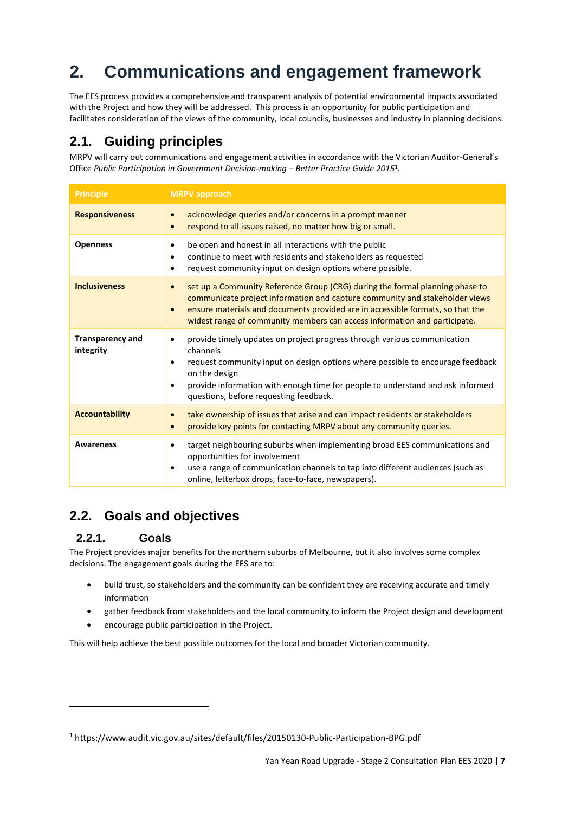# **2. Communications and engagement framework**

The EES process provides a comprehensive and transparent analysis of potential environmental impacts associated with the Project and how they will be addressed. This process is an opportunity for public participation and facilitates consideration of the views of the community, local councils, businesses and industry in planning decisions.

# **2.1. Guiding principles**

MRPV will carry out communications and engagement activities in accordance with the Victorian Auditor-General's Office *Public Participation in Government Decision-making* – *Better Practice Guide 2015*<sup>1</sup> .

| <b>Principle</b>                     | <b>MRPV</b> approach                                                                                                                                                                                                                                                                                                                                       |
|--------------------------------------|------------------------------------------------------------------------------------------------------------------------------------------------------------------------------------------------------------------------------------------------------------------------------------------------------------------------------------------------------------|
| <b>Responsiveness</b>                | acknowledge queries and/or concerns in a prompt manner<br>$\bullet$<br>respond to all issues raised, no matter how big or small.<br>$\bullet$                                                                                                                                                                                                              |
| <b>Openness</b>                      | be open and honest in all interactions with the public<br>٠<br>continue to meet with residents and stakeholders as requested<br>$\bullet$<br>request community input on design options where possible.<br>٠                                                                                                                                                |
| <b>Inclusiveness</b>                 | set up a Community Reference Group (CRG) during the formal planning phase to<br>$\bullet$<br>communicate project information and capture community and stakeholder views<br>ensure materials and documents provided are in accessible formats, so that the<br>$\bullet$<br>widest range of community members can access information and participate.       |
| <b>Transparency and</b><br>integrity | provide timely updates on project progress through various communication<br>$\bullet$<br>channels<br>request community input on design options where possible to encourage feedback<br>$\bullet$<br>on the design<br>provide information with enough time for people to understand and ask informed<br>$\bullet$<br>questions, before requesting feedback. |
| <b>Accountability</b>                | take ownership of issues that arise and can impact residents or stakeholders<br>$\bullet$<br>provide key points for contacting MRPV about any community queries.<br>$\bullet$                                                                                                                                                                              |
| <b>Awareness</b>                     | target neighbouring suburbs when implementing broad EES communications and<br>٠<br>opportunities for involvement<br>use a range of communication channels to tap into different audiences (such as<br>٠<br>online, letterbox drops, face-to-face, newspapers).                                                                                             |

# **2.2. Goals and objectives**

### **2.2.1. Goals**

The Project provides major benefits for the northern suburbs of Melbourne, but it also involves some complex decisions. The engagement goals during the EES are to:

- build trust, so stakeholders and the community can be confident they are receiving accurate and timely information
- gather feedback from stakeholders and the local community to inform the Project design and development
- encourage public participation in the Project.

This will help achieve the best possible outcomes for the local and broader Victorian community.

<sup>1</sup> https://www.audit.vic.gov.au/sites/default/files/20150130-Public-Participation-BPG.pdf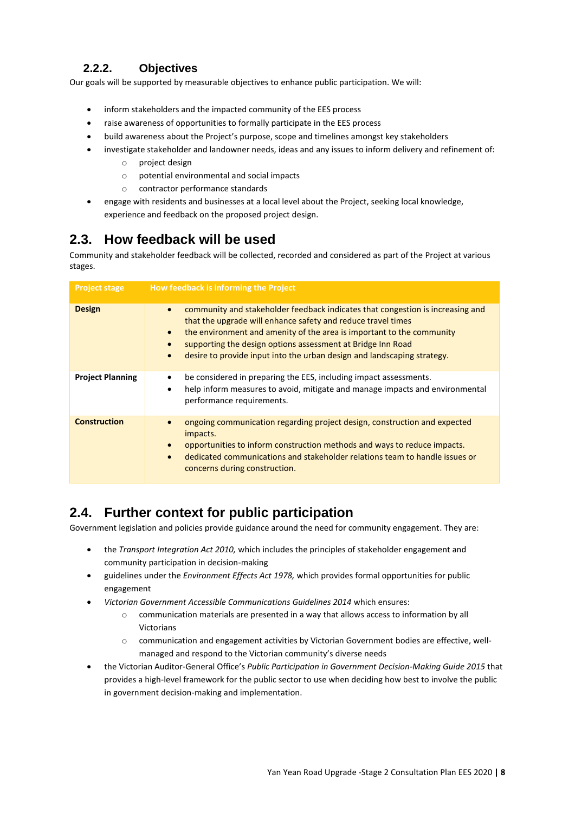### **2.2.2. Objectives**

Our goals will be supported by measurable objectives to enhance public participation. We will:

- inform stakeholders and the impacted community of the EES process
- raise awareness of opportunities to formally participate in the EES process
- build awareness about the Project's purpose, scope and timelines amongst key stakeholders
	- investigate stakeholder and landowner needs, ideas and any issues to inform delivery and refinement of:
		- o project design
		- o potential environmental and social impacts
		- o contractor performance standards
- engage with residents and businesses at a local level about the Project, seeking local knowledge, experience and feedback on the proposed project design.

## **2.3. How feedback will be used**

Community and stakeholder feedback will be collected, recorded and considered as part of the Project at various stages.

| <b>Project stage</b>    | How feedback is informing the Project                                                                                                                                                                                                                                                                                                                                                                                 |
|-------------------------|-----------------------------------------------------------------------------------------------------------------------------------------------------------------------------------------------------------------------------------------------------------------------------------------------------------------------------------------------------------------------------------------------------------------------|
| <b>Design</b>           | community and stakeholder feedback indicates that congestion is increasing and<br>$\bullet$<br>that the upgrade will enhance safety and reduce travel times<br>the environment and amenity of the area is important to the community<br>$\bullet$<br>supporting the design options assessment at Bridge Inn Road<br>$\bullet$<br>desire to provide input into the urban design and landscaping strategy.<br>$\bullet$ |
| <b>Project Planning</b> | be considered in preparing the EES, including impact assessments.<br>٠<br>help inform measures to avoid, mitigate and manage impacts and environmental<br>٠<br>performance requirements.                                                                                                                                                                                                                              |
| <b>Construction</b>     | ongoing communication regarding project design, construction and expected<br>impacts.<br>opportunities to inform construction methods and ways to reduce impacts.<br>$\bullet$<br>dedicated communications and stakeholder relations team to handle issues or<br>$\bullet$<br>concerns during construction.                                                                                                           |

# **2.4. Further context for public participation**

Government legislation and policies provide guidance around the need for community engagement. They are:

- the *Transport Integration Act 2010,* which includes the principles of stakeholder engagement and community participation in decision-making
- guidelines under the *Environment Effects Act 1978,* which provides formal opportunities for public engagement
- *Victorian Government Accessible Communications Guidelines 2014* which ensures:
	- o communication materials are presented in a way that allows access to information by all Victorians
	- o communication and engagement activities by Victorian Government bodies are effective, wellmanaged and respond to the Victorian community's diverse needs
- the Victorian Auditor-General Office's *Public Participation in Government Decision-Making Guide 2015* that provides a high-level framework for the public sector to use when deciding how best to involve the public in government decision-making and implementation.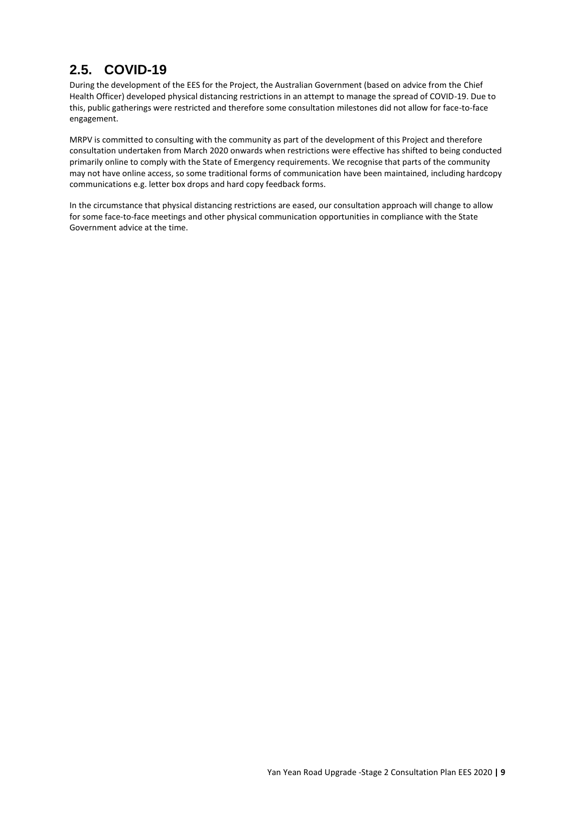# **2.5. COVID-19**

During the development of the EES for the Project, the Australian Government (based on advice from the Chief Health Officer) developed physical distancing restrictions in an attempt to manage the spread of COVID-19. Due to this, public gatherings were restricted and therefore some consultation milestones did not allow for face-to-face engagement.

MRPV is committed to consulting with the community as part of the development of this Project and therefore consultation undertaken from March 2020 onwards when restrictions were effective has shifted to being conducted primarily online to comply with the State of Emergency requirements. We recognise that parts of the community may not have online access, so some traditional forms of communication have been maintained, including hardcopy communications e.g. letter box drops and hard copy feedback forms.

In the circumstance that physical distancing restrictions are eased, our consultation approach will change to allow for some face-to-face meetings and other physical communication opportunities in compliance with the State Government advice at the time.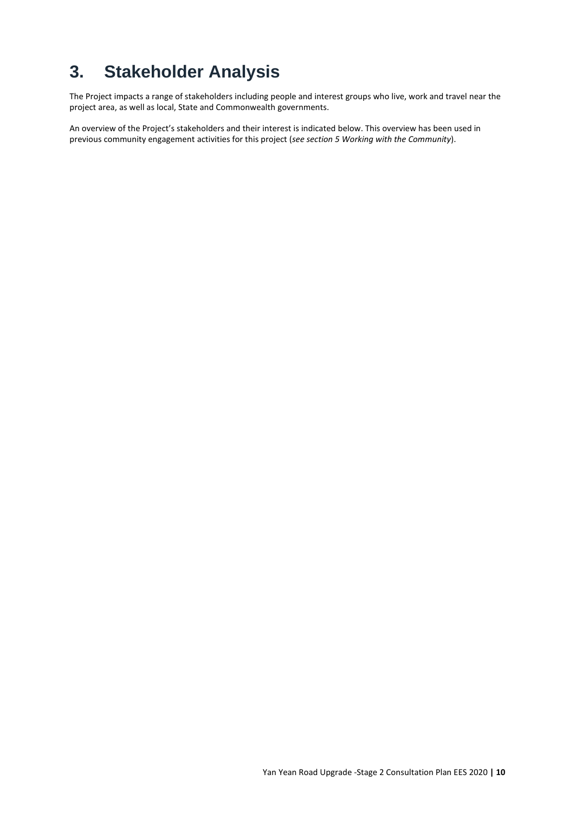# **3. Stakeholder Analysis**

The Project impacts a range of stakeholders including people and interest groups who live, work and travel near the project area, as well as local, State and Commonwealth governments.

An overview of the Project's stakeholders and their interest is indicated below. This overview has been used in previous community engagement activities for this project (*see section 5 Working with the Community*).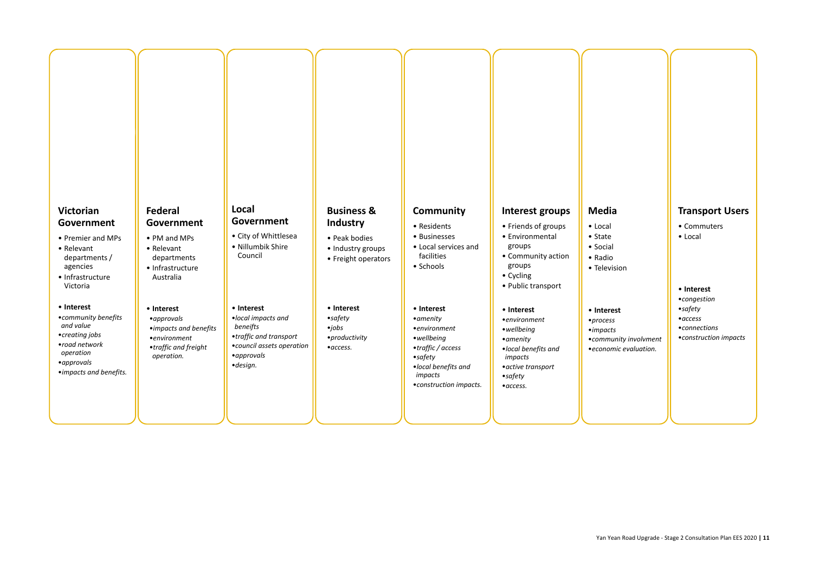# **Victorian Government**

- Premier and MPs
- Relevant departments /
- agencies • Infrastructure Victoria
- **Interest**
- •*community benefits and value* •*creating jobs* •*road network operation* •*approvals* •*impacts and benefits.*

# **Federal Government**

- PM and MPs
- Relevant departments
- Infrastructure Australia
- **Interest**
- •*approvals*
- •*impacts and benefits*
- •*environment* •*traffic and freight operation.*

# **Local Government**

- City of Whittlesea
- Nillumbik Shire Council
- **Interest**
- •*local impacts and beneifts* •*traffic and transport* •*council assets operation* •*approvals* •*design.*

# **Business & Industry**

- Peak bodies
- Industry groups
- Freight operators

### • **Interest**

•*safety* •*jobs* •*productivity* •*access.*

# **Community**

- Residents
- Businesses
- Local services and facilities
- Schools

### • **Interest**

- •*amenity*
- •*environment*
- •*wellbeing*
- •*traffic / access*
- •*safety* •*local benefits and impacts*
- •*construction impacts.*

# **Interest groups**

- Friends of groups
- Environmental
- groups • Community action
- groups
- Cycling
- Public transport

• **Interest**

- •*environment*
- •*wellbeing* •*amenity*
- •*local benefits and impacts*
- •*active transport* •*safety*
- •*access.*

# **Media**

• Local • State • Social • Radio

• Television

- **Interest**
- •*process* •*impacts* •*community involvment* •*economic evaluation.*

# **Transport Users**

- Commuters
- Local

### • **Interest**

- •*congestion*
- •*safety*
- •*access*
- •*connections*
- •*construction impacts*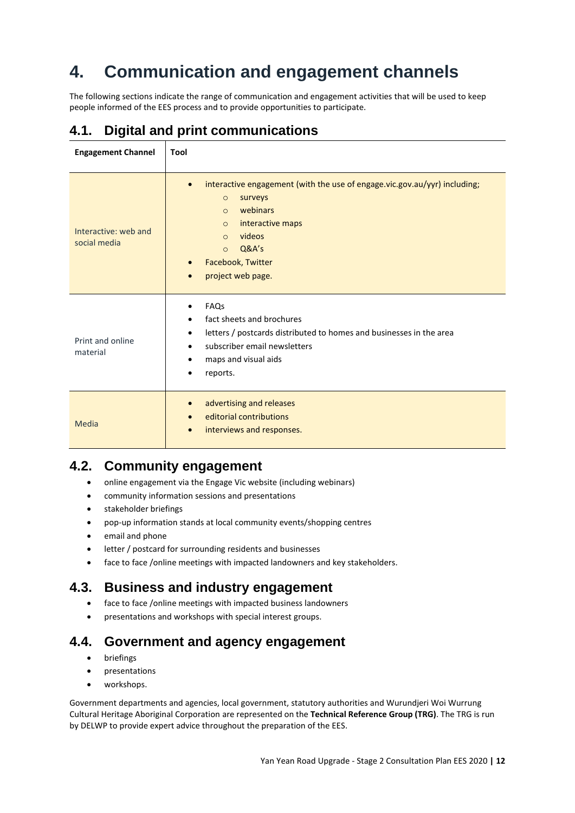# **4. Communication and engagement channels**

The following sections indicate the range of communication and engagement activities that will be used to keep people informed of the EES process and to provide opportunities to participate.

# **4.1. Digital and print communications**

| <b>Engagement Channel</b>            | <b>Tool</b>                                                                                                                                                                                                                                                                       |
|--------------------------------------|-----------------------------------------------------------------------------------------------------------------------------------------------------------------------------------------------------------------------------------------------------------------------------------|
| Interactive: web and<br>social media | interactive engagement (with the use of engage.vic.gov.au/yyr) including;<br>$\bullet$<br>surveys<br>$\circ$<br>webinars<br>$\Omega$<br>interactive maps<br>$\circ$<br>videos<br>$\circ$<br>Q&A's<br>$\Omega$<br>Facebook, Twitter<br>$\bullet$<br>project web page.<br>$\bullet$ |
| Print and online<br>material         | FAQs<br>٠<br>fact sheets and brochures<br>$\bullet$<br>letters / postcards distributed to homes and businesses in the area<br>subscriber email newsletters<br>maps and visual aids<br>٠<br>reports.                                                                               |
| Media                                | advertising and releases<br>$\bullet$<br>editorial contributions<br>interviews and responses.<br>$\bullet$                                                                                                                                                                        |

# **4.2. Community engagement**

- online engagement via the Engage Vic website (including webinars)
- community information sessions and presentations
- stakeholder briefings
- pop-up information stands at local community events/shopping centres
- email and phone
- letter / postcard for surrounding residents and businesses
- face to face /online meetings with impacted landowners and key stakeholders.

## **4.3. Business and industry engagement**

- face to face /online meetings with impacted business landowners
- presentations and workshops with special interest groups.

## **4.4. Government and agency engagement**

- briefings
- presentations
- workshops.

Government departments and agencies, local government, statutory authorities and Wurundjeri Woi Wurrung Cultural Heritage Aboriginal Corporation are represented on the **Technical Reference Group (TRG)**. The TRG is run by DELWP to provide expert advice throughout the preparation of the EES.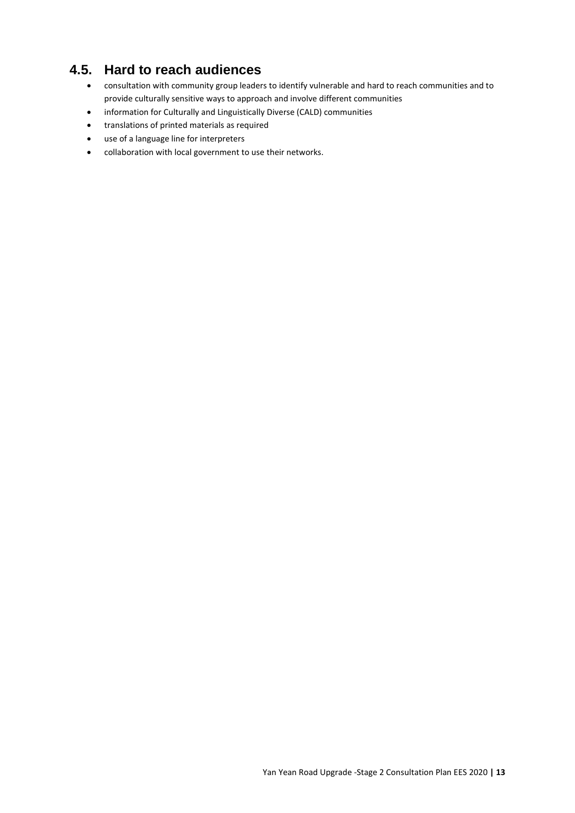# **4.5. Hard to reach audiences**

- consultation with community group leaders to identify vulnerable and hard to reach communities and to provide culturally sensitive ways to approach and involve different communities
- information for Culturally and Linguistically Diverse (CALD) communities
- translations of printed materials as required
- use of a language line for interpreters
- collaboration with local government to use their networks.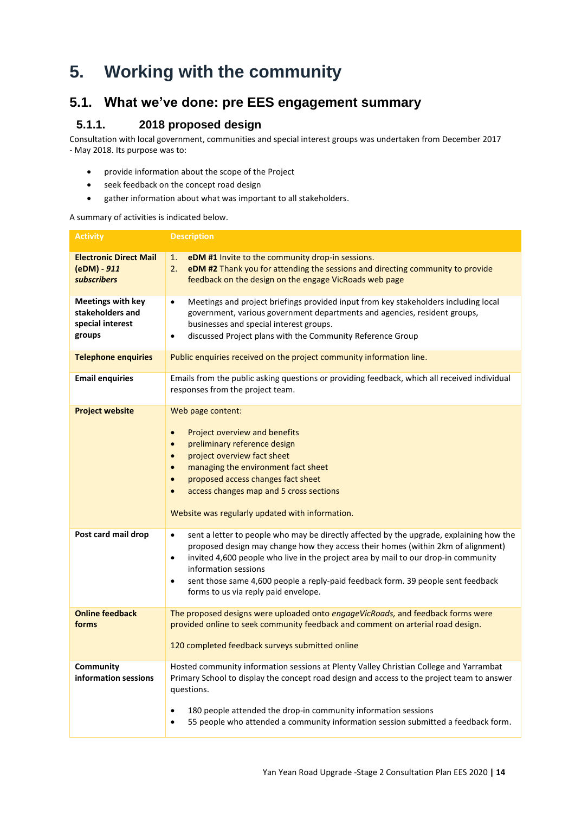# **5. Working with the community**

# **5.1. What we've done: pre EES engagement summary**

### **5.1.1. 2018 proposed design**

Consultation with local government, communities and special interest groups was undertaken from December 2017 - May 2018. Its purpose was to:

- provide information about the scope of the Project
- seek feedback on the concept road design
- gather information about what was important to all stakeholders.

A summary of activities is indicated below.

| <b>Activity</b>                                                            | <b>Description</b>                                                                                                                                                                                                                                                                                                                                                                                                                                           |  |  |
|----------------------------------------------------------------------------|--------------------------------------------------------------------------------------------------------------------------------------------------------------------------------------------------------------------------------------------------------------------------------------------------------------------------------------------------------------------------------------------------------------------------------------------------------------|--|--|
| <b>Electronic Direct Mail</b><br>(eDM) - 911<br>subscribers                | eDM #1 Invite to the community drop-in sessions.<br>1.<br>eDM #2 Thank you for attending the sessions and directing community to provide<br>2.<br>feedback on the design on the engage VicRoads web page                                                                                                                                                                                                                                                     |  |  |
| <b>Meetings with key</b><br>stakeholders and<br>special interest<br>groups | Meetings and project briefings provided input from key stakeholders including local<br>$\bullet$<br>government, various government departments and agencies, resident groups,<br>businesses and special interest groups.<br>discussed Project plans with the Community Reference Group<br>$\bullet$                                                                                                                                                          |  |  |
| <b>Telephone enquiries</b>                                                 | Public enquiries received on the project community information line.                                                                                                                                                                                                                                                                                                                                                                                         |  |  |
| <b>Email enquiries</b>                                                     | Emails from the public asking questions or providing feedback, which all received individual<br>responses from the project team.                                                                                                                                                                                                                                                                                                                             |  |  |
| <b>Project website</b>                                                     | Web page content:<br>Project overview and benefits<br>$\bullet$<br>preliminary reference design<br>project overview fact sheet<br>managing the environment fact sheet<br>proposed access changes fact sheet<br>access changes map and 5 cross sections<br>Website was regularly updated with information.                                                                                                                                                    |  |  |
| Post card mail drop                                                        | sent a letter to people who may be directly affected by the upgrade, explaining how the<br>$\bullet$<br>proposed design may change how they access their homes (within 2km of alignment)<br>invited 4,600 people who live in the project area by mail to our drop-in community<br>$\bullet$<br>information sessions<br>sent those same 4,600 people a reply-paid feedback form. 39 people sent feedback<br>$\bullet$<br>forms to us via reply paid envelope. |  |  |
| <b>Online feedback</b><br>forms                                            | The proposed designs were uploaded onto engageVicRoads, and feedback forms were<br>provided online to seek community feedback and comment on arterial road design.<br>120 completed feedback surveys submitted online                                                                                                                                                                                                                                        |  |  |
| Community<br>information sessions                                          | Hosted community information sessions at Plenty Valley Christian College and Yarrambat<br>Primary School to display the concept road design and access to the project team to answer<br>questions.<br>180 people attended the drop-in community information sessions<br>٠<br>55 people who attended a community information session submitted a feedback form.<br>٠                                                                                          |  |  |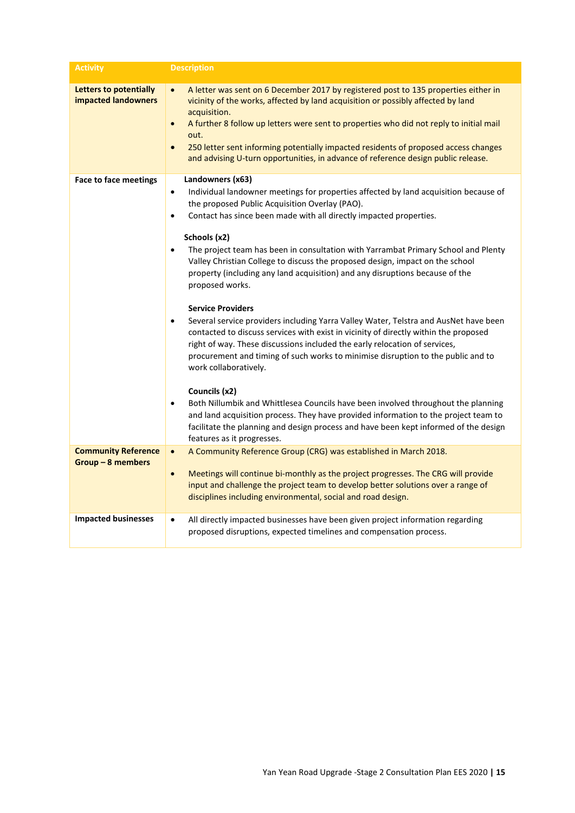| <b>Activity</b>                                      | <b>Description</b>                                                                                                                                                                                                                                                                                                                                                                                                                                                                                                                                                                                                                                                                                                                                                                                                                                                                                                                                                                                                                                                                                                                                                                                                                                              |
|------------------------------------------------------|-----------------------------------------------------------------------------------------------------------------------------------------------------------------------------------------------------------------------------------------------------------------------------------------------------------------------------------------------------------------------------------------------------------------------------------------------------------------------------------------------------------------------------------------------------------------------------------------------------------------------------------------------------------------------------------------------------------------------------------------------------------------------------------------------------------------------------------------------------------------------------------------------------------------------------------------------------------------------------------------------------------------------------------------------------------------------------------------------------------------------------------------------------------------------------------------------------------------------------------------------------------------|
| <b>Letters to potentially</b><br>impacted landowners | A letter was sent on 6 December 2017 by registered post to 135 properties either in<br>$\bullet$<br>vicinity of the works, affected by land acquisition or possibly affected by land<br>acquisition.<br>A further 8 follow up letters were sent to properties who did not reply to initial mail<br>$\bullet$<br>out.<br>250 letter sent informing potentially impacted residents of proposed access changes<br>$\bullet$<br>and advising U-turn opportunities, in advance of reference design public release.                                                                                                                                                                                                                                                                                                                                                                                                                                                                                                                                                                                                                                                                                                                                                   |
| <b>Face to face meetings</b>                         | Landowners (x63)<br>Individual landowner meetings for properties affected by land acquisition because of<br>٠<br>the proposed Public Acquisition Overlay (PAO).<br>Contact has since been made with all directly impacted properties.<br>$\bullet$<br>Schools (x2)<br>The project team has been in consultation with Yarrambat Primary School and Plenty<br>٠<br>Valley Christian College to discuss the proposed design, impact on the school<br>property (including any land acquisition) and any disruptions because of the<br>proposed works.<br><b>Service Providers</b><br>Several service providers including Yarra Valley Water, Telstra and AusNet have been<br>٠<br>contacted to discuss services with exist in vicinity of directly within the proposed<br>right of way. These discussions included the early relocation of services,<br>procurement and timing of such works to minimise disruption to the public and to<br>work collaboratively.<br>Councils (x2)<br>Both Nillumbik and Whittlesea Councils have been involved throughout the planning<br>$\bullet$<br>and land acquisition process. They have provided information to the project team to<br>facilitate the planning and design process and have been kept informed of the design |
| <b>Community Reference</b>                           | features as it progresses.<br>A Community Reference Group (CRG) was established in March 2018.<br>$\bullet$                                                                                                                                                                                                                                                                                                                                                                                                                                                                                                                                                                                                                                                                                                                                                                                                                                                                                                                                                                                                                                                                                                                                                     |
| $Group-8$ members                                    | Meetings will continue bi-monthly as the project progresses. The CRG will provide<br>$\bullet$<br>input and challenge the project team to develop better solutions over a range of<br>disciplines including environmental, social and road design.                                                                                                                                                                                                                                                                                                                                                                                                                                                                                                                                                                                                                                                                                                                                                                                                                                                                                                                                                                                                              |
| <b>Impacted businesses</b>                           | All directly impacted businesses have been given project information regarding<br>$\bullet$<br>proposed disruptions, expected timelines and compensation process.                                                                                                                                                                                                                                                                                                                                                                                                                                                                                                                                                                                                                                                                                                                                                                                                                                                                                                                                                                                                                                                                                               |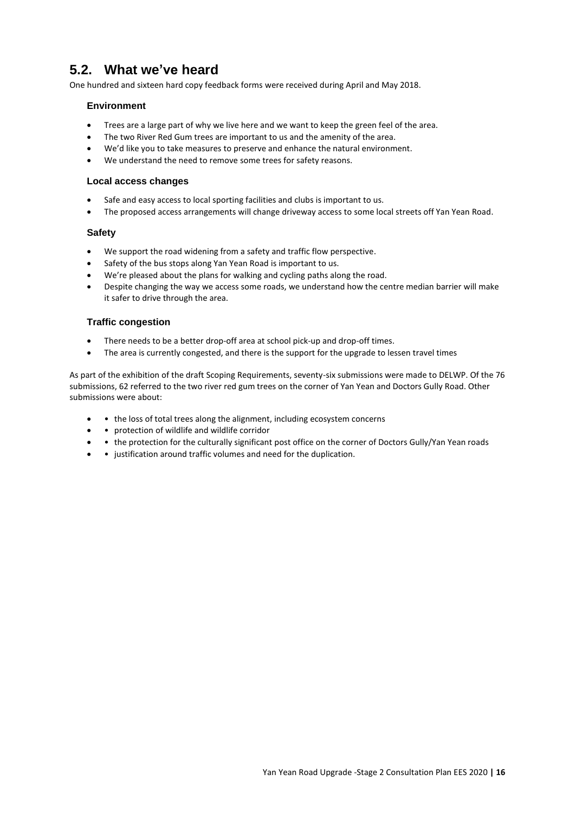# **5.2. What we've heard**

One hundred and sixteen hard copy feedback forms were received during April and May 2018.

### **Environment**

- Trees are a large part of why we live here and we want to keep the green feel of the area.
- The two River Red Gum trees are important to us and the amenity of the area.
- We'd like you to take measures to preserve and enhance the natural environment.
- We understand the need to remove some trees for safety reasons.

### **Local access changes**

- Safe and easy access to local sporting facilities and clubs is important to us.
- The proposed access arrangements will change driveway access to some local streets off Yan Yean Road.

### **Safety**

- We support the road widening from a safety and traffic flow perspective.
- Safety of the bus stops along Yan Yean Road is important to us.
- We're pleased about the plans for walking and cycling paths along the road.
- Despite changing the way we access some roads, we understand how the centre median barrier will make it safer to drive through the area.

### **Traffic congestion**

- There needs to be a better drop-off area at school pick-up and drop-off times.
- The area is currently congested, and there is the support for the upgrade to lessen travel times

As part of the exhibition of the draft Scoping Requirements, seventy-six submissions were made to DELWP. Of the 76 submissions, 62 referred to the two river red gum trees on the corner of Yan Yean and Doctors Gully Road. Other submissions were about:

- • the loss of total trees along the alignment, including ecosystem concerns
- • protection of wildlife and wildlife corridor
- • the protection for the culturally significant post office on the corner of Doctors Gully/Yan Yean roads
- • justification around traffic volumes and need for the duplication.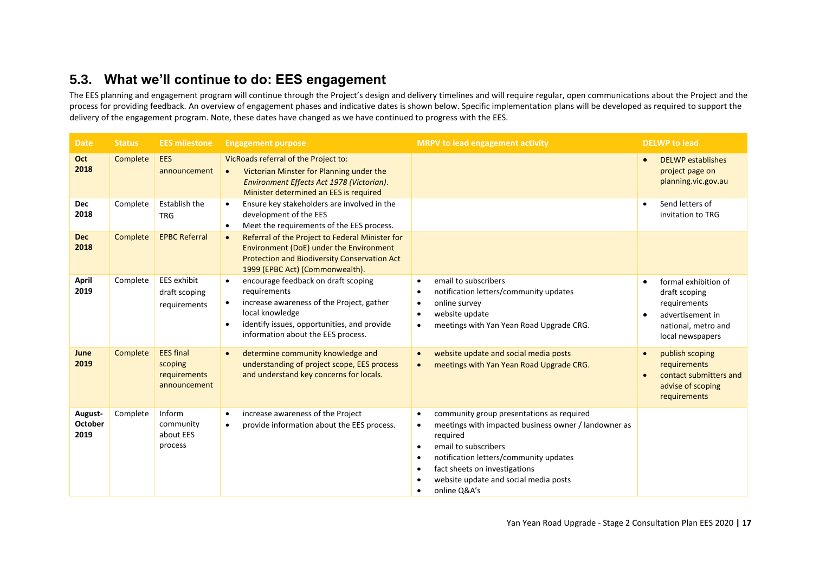# **5.3. What we'll continue to do: EES engagement**

The EES planning and engagement program will continue through the Project's design and delivery timelines and will require regular, open communications about the Project and the process for providing feedback. An overview of engagement phases and indicative dates is shown below. Specific implementation plans will be developed as required to support the delivery of the engagement program. Note, these dates have changed as we have continued to progress with the EES.

| <b>Date</b>                       | <b>Status</b> | <b>EES milestone</b>                                        | <b>Engagement purpose</b>                                                                                                                                                                                                          | MRPV to lead engagement activity                                                                                                                                                                                                                                                                                                                                     | <b>DELWP</b> to lead                                                                                                              |
|-----------------------------------|---------------|-------------------------------------------------------------|------------------------------------------------------------------------------------------------------------------------------------------------------------------------------------------------------------------------------------|----------------------------------------------------------------------------------------------------------------------------------------------------------------------------------------------------------------------------------------------------------------------------------------------------------------------------------------------------------------------|-----------------------------------------------------------------------------------------------------------------------------------|
| Oct<br>2018                       | Complete      | <b>EES</b><br>announcement                                  | VicRoads referral of the Project to:<br>Victorian Minster for Planning under the<br>$\bullet$<br>Environment Effects Act 1978 (Victorian).<br>Minister determined an EES is required                                               |                                                                                                                                                                                                                                                                                                                                                                      | DELWP establishes<br>$\bullet$<br>project page on<br>planning.vic.gov.au                                                          |
| Dec<br>2018                       | Complete      | Establish the<br><b>TRG</b>                                 | Ensure key stakeholders are involved in the<br>$\bullet$<br>development of the EES<br>Meet the requirements of the EES process.<br>$\bullet$                                                                                       |                                                                                                                                                                                                                                                                                                                                                                      | Send letters of<br>$\bullet$<br>invitation to TRG                                                                                 |
| <b>Dec</b><br>2018                | Complete      | <b>EPBC Referral</b>                                        | Referral of the Project to Federal Minister for<br>$\bullet$<br>Environment (DoE) under the Environment<br>Protection and Biodiversity Conservation Act<br>1999 (EPBC Act) (Commonwealth).                                         |                                                                                                                                                                                                                                                                                                                                                                      |                                                                                                                                   |
| April<br>2019                     | Complete      | <b>EES</b> exhibit<br>draft scoping<br>requirements         | encourage feedback on draft scoping<br>$\bullet$<br>requirements<br>increase awareness of the Project, gather<br>local knowledge<br>identify issues, opportunities, and provide<br>$\bullet$<br>information about the EES process. | email to subscribers<br>$\bullet$<br>notification letters/community updates<br>$\bullet$<br>online survey<br>$\bullet$<br>website update<br>$\bullet$<br>meetings with Yan Yean Road Upgrade CRG.<br>$\bullet$                                                                                                                                                       | formal exhibition of<br>$\bullet$<br>draft scoping<br>requirements<br>advertisement in<br>national, metro and<br>local newspapers |
| June<br>2019                      | Complete      | <b>EES</b> final<br>scoping<br>requirements<br>announcement | determine community knowledge and<br>$\bullet$<br>understanding of project scope, EES process<br>and understand key concerns for locals.                                                                                           | website update and social media posts<br>$\bullet$<br>meetings with Yan Yean Road Upgrade CRG.<br>$\bullet$                                                                                                                                                                                                                                                          | publish scoping<br>$\bullet$<br>requirements<br>contact submitters and<br>advise of scoping<br>requirements                       |
| August-<br><b>October</b><br>2019 | Complete      | Inform<br>community<br>about EES<br>process                 | increase awareness of the Project<br>$\bullet$<br>provide information about the EES process.<br>$\bullet$                                                                                                                          | community group presentations as required<br>$\bullet$<br>meetings with impacted business owner / landowner as<br>$\bullet$<br>required<br>email to subscribers<br>$\bullet$<br>notification letters/community updates<br>$\bullet$<br>fact sheets on investigations<br>$\bullet$<br>website update and social media posts<br>$\bullet$<br>online Q&A's<br>$\bullet$ |                                                                                                                                   |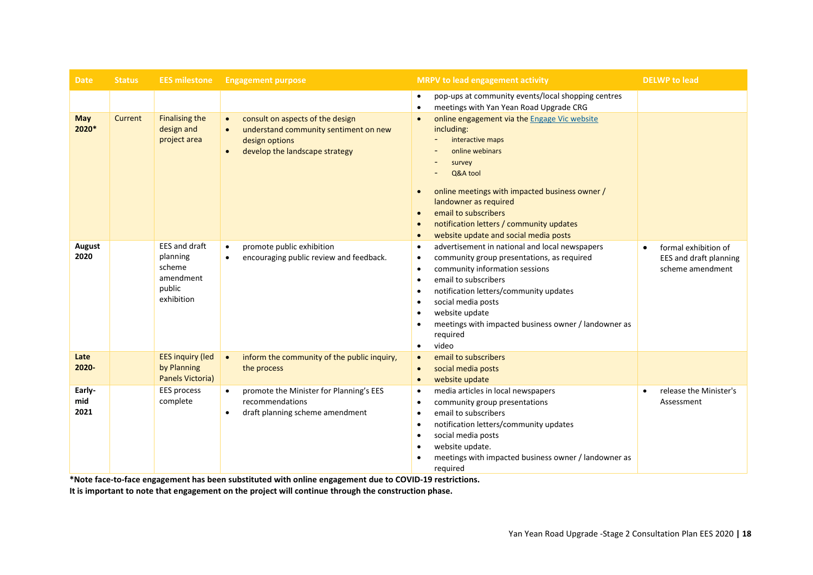| <b>Date</b>           | <b>Status</b> | <b>EES milestone</b>                                                     | <b>Engagement purpose</b>                                                                                                                                            | <b>MRPV to lead engagement activity</b>                                                                                                                                                                                                                                                                                                                                                                                                    | <b>DELWP</b> to lead                                                            |
|-----------------------|---------------|--------------------------------------------------------------------------|----------------------------------------------------------------------------------------------------------------------------------------------------------------------|--------------------------------------------------------------------------------------------------------------------------------------------------------------------------------------------------------------------------------------------------------------------------------------------------------------------------------------------------------------------------------------------------------------------------------------------|---------------------------------------------------------------------------------|
|                       |               |                                                                          |                                                                                                                                                                      | pop-ups at community events/local shopping centres<br>$\bullet$<br>meetings with Yan Yean Road Upgrade CRG<br>$\bullet$                                                                                                                                                                                                                                                                                                                    |                                                                                 |
| <b>May</b><br>2020*   | Current       | <b>Finalising the</b><br>design and<br>project area                      | consult on aspects of the design<br>$\bullet$<br>understand community sentiment on new<br>$\bullet$<br>design options<br>develop the landscape strategy<br>$\bullet$ | online engagement via the Engage Vic website<br>$\bullet$<br>including:<br>interactive maps<br>online webinars<br>survey<br>Q&A tool<br>online meetings with impacted business owner /<br>$\bullet$<br>landowner as required<br>email to subscribers<br>$\bullet$<br>notification letters / community updates<br>$\bullet$<br>website update and social media posts<br>$\bullet$                                                           |                                                                                 |
| August<br>2020        |               | EES and draft<br>planning<br>scheme<br>amendment<br>public<br>exhibition | promote public exhibition<br>$\bullet$<br>encouraging public review and feedback.<br>$\bullet$                                                                       | advertisement in national and local newspapers<br>$\bullet$<br>community group presentations, as required<br>$\bullet$<br>community information sessions<br>$\bullet$<br>email to subscribers<br>$\bullet$<br>notification letters/community updates<br>$\bullet$<br>social media posts<br>$\bullet$<br>website update<br>$\bullet$<br>meetings with impacted business owner / landowner as<br>$\bullet$<br>required<br>video<br>$\bullet$ | formal exhibition of<br>$\bullet$<br>EES and draft planning<br>scheme amendment |
| Late<br>2020-         |               | <b>EES inquiry (led</b><br>by Planning<br><b>Panels Victoria)</b>        | inform the community of the public inquiry,<br>$\bullet$<br>the process                                                                                              | email to subscribers<br>$\bullet$<br>social media posts<br>$\bullet$<br>website update<br>$\bullet$                                                                                                                                                                                                                                                                                                                                        |                                                                                 |
| Early-<br>mid<br>2021 |               | <b>EES process</b><br>complete                                           | promote the Minister for Planning's EES<br>$\bullet$<br>recommendations<br>draft planning scheme amendment<br>$\bullet$                                              | media articles in local newspapers<br>$\bullet$<br>community group presentations<br>$\bullet$<br>email to subscribers<br>$\bullet$<br>notification letters/community updates<br>$\bullet$<br>social media posts<br>$\bullet$<br>website update.<br>$\bullet$<br>meetings with impacted business owner / landowner as<br>$\bullet$<br>required                                                                                              | release the Minister's<br>$\bullet$<br>Assessment                               |

**\*Note face-to-face engagement has been substituted with online engagement due to COVID-19 restrictions.**

**It is important to note that engagement on the project will continue through the construction phase.**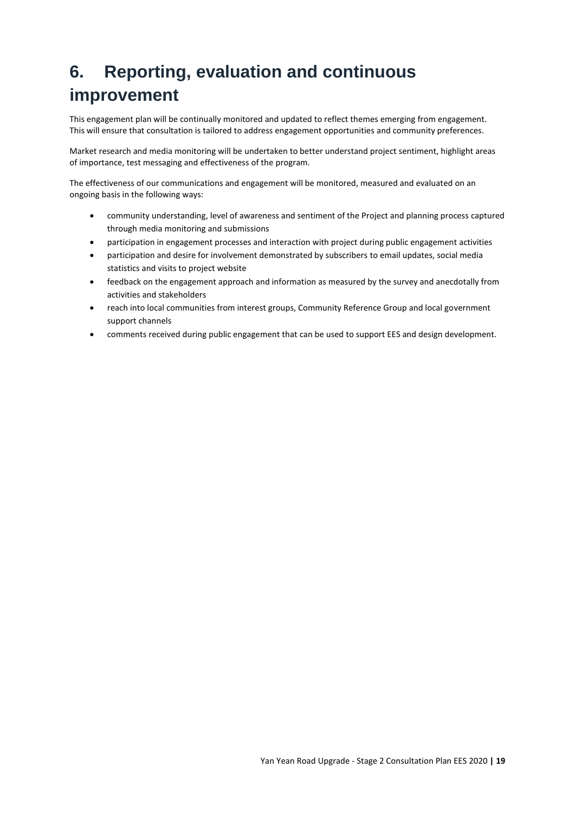# **6. Reporting, evaluation and continuous improvement**

This engagement plan will be continually monitored and updated to reflect themes emerging from engagement. This will ensure that consultation is tailored to address engagement opportunities and community preferences.

Market research and media monitoring will be undertaken to better understand project sentiment, highlight areas of importance, test messaging and effectiveness of the program.

The effectiveness of our communications and engagement will be monitored, measured and evaluated on an ongoing basis in the following ways:

- community understanding, level of awareness and sentiment of the Project and planning process captured through media monitoring and submissions
- participation in engagement processes and interaction with project during public engagement activities
- participation and desire for involvement demonstrated by subscribers to email updates, social media statistics and visits to project website
- feedback on the engagement approach and information as measured by the survey and anecdotally from activities and stakeholders
- reach into local communities from interest groups, Community Reference Group and local government support channels
- comments received during public engagement that can be used to support EES and design development.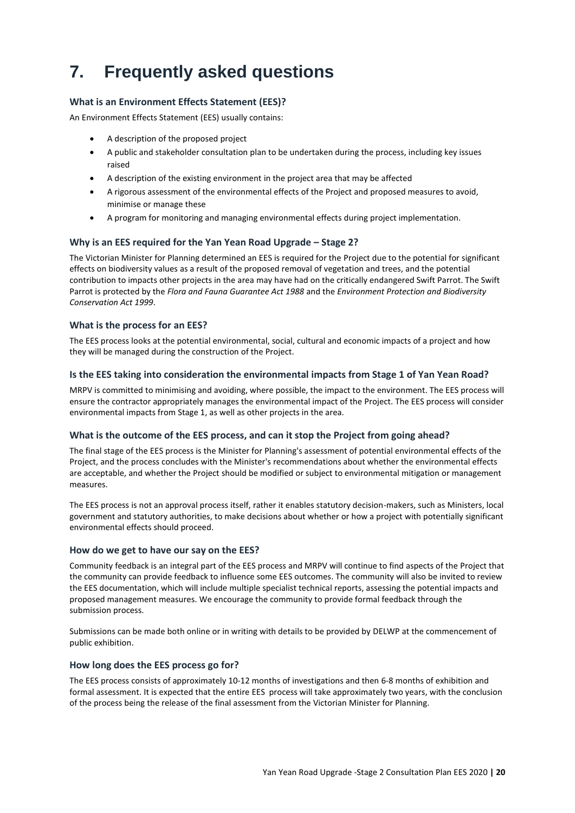# **7. Frequently asked questions**

### **What is an Environment Effects Statement (EES)?**

An Environment Effects Statement (EES) usually contains:

- A description of the proposed project
- A public and stakeholder consultation plan to be undertaken during the process, including key issues raised
- A description of the existing environment in the project area that may be affected
- A rigorous assessment of the environmental effects of the Project and proposed measures to avoid, minimise or manage these
- A program for monitoring and managing environmental effects during project implementation.

### **Why is an EES required for the Yan Yean Road Upgrade – Stage 2?**

The Victorian Minister for Planning determined an EES is required for the Project due to the potential for significant effects on biodiversity values as a result of the proposed removal of vegetation and trees, and the potential contribution to impacts other projects in the area may have had on the critically endangered Swift Parrot. The Swift Parrot is protected by the *Flora and Fauna Guarantee Act 1988* and the *Environment Protection and Biodiversity Conservation Act 1999*.

### **What is the process for an EES?**

The EES process looks at the potential environmental, social, cultural and economic impacts of a project and how they will be managed during the construction of the Project.

### **Is the EES taking into consideration the environmental impacts from Stage 1 of Yan Yean Road?**

MRPV is committed to minimising and avoiding, where possible, the impact to the environment. The EES process will ensure the contractor appropriately manages the environmental impact of the Project. The EES process will consider environmental impacts from Stage 1, as well as other projects in the area.

### **What is the outcome of the EES process, and can it stop the Project from going ahead?**

The final stage of the EES process is the Minister for Planning's assessment of potential environmental effects of the Project, and the process concludes with the Minister's recommendations about whether the environmental effects are acceptable, and whether the Project should be modified or subject to environmental mitigation or management measures.

The EES process is not an approval process itself, rather it enables statutory decision-makers, such as Ministers, local government and statutory authorities, to make decisions about whether or how a project with potentially significant environmental effects should proceed.

### **How do we get to have our say on the EES?**

Community feedback is an integral part of the EES process and MRPV will continue to find aspects of the Project that the community can provide feedback to influence some EES outcomes. The community will also be invited to review the EES documentation, which will include multiple specialist technical reports, assessing the potential impacts and proposed management measures. We encourage the community to provide formal feedback through the submission process.

Submissions can be made both online or in writing with details to be provided by DELWP at the commencement of public exhibition.

### **How long does the EES process go for?**

The EES process consists of approximately 10-12 months of investigations and then 6-8 months of exhibition and formal assessment. It is expected that the entire EES process will take approximately two years, with the conclusion of the process being the release of the final assessment from the Victorian Minister for Planning.